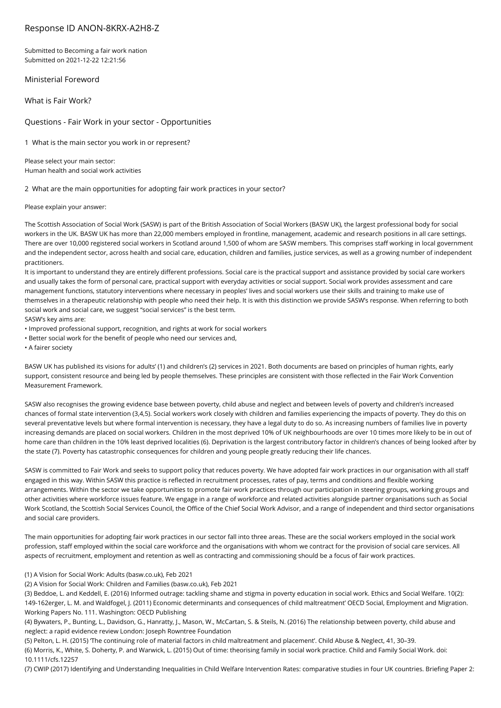# Response ID ANON-8KRX-A2H8-Z

Submitted to Becoming a fair work nation Submitted on 2021-12-22 12:21:56

Ministerial Foreword

What is Fair Work?

Questions - Fair Work in your sector - Opportunities

1 What is the main sector you work in or represent?

Please select your main sector: Human health and social work activities

2 What are the main opportunities for adopting fair work practices in your sector?

Please explain your answer:

The Scottish Association of Social Work (SASW) is part of the British Association of Social Workers (BASW UK), the largest professional body for social workers in the UK. BASW UK has more than 22,000 members employed in frontline, management, academic and research positions in all care settings. There are over 10,000 registered social workers in Scotland around 1,500 of whom are SASW members. This comprises staff working in local government and the independent sector, across health and social care, education, children and families, justice services, as well as a growing number of independent practitioners.

It is important to understand they are entirely different professions. Social care is the practical support and assistance provided by social care workers and usually takes the form of personal care, practical support with everyday activities or social support. Social work provides assessment and care management functions, statutory interventions where necessary in peoples' lives and social workers use their skills and training to make use of themselves in a therapeutic relationship with people who need their help. It is with this distinction we provide SASW's response. When referring to both social work and social care, we suggest "social services" is the best term.

SASW's key aims are:

• Improved professional support, recognition, and rights at work for social workers

• Better social work for the benefit of people who need our services and,

• A fairer society

BASW UK has published its visions for adults' (1) and children's (2) services in 2021. Both documents are based on principles of human rights, early support, consistent resource and being led by people themselves. These principles are consistent with those reflected in the Fair Work Convention Measurement Framework.

SASW also recognises the growing evidence base between poverty, child abuse and neglect and between levels of poverty and children's increased chances of formal state intervention (3,4,5). Social workers work closely with children and families experiencing the impacts of poverty. They do this on several preventative levels but where formal intervention is necessary, they have a legal duty to do so. As increasing numbers of families live in poverty increasing demands are placed on social workers. Children in the most deprived 10% of UK neighbourhoods are over 10 times more likely to be in out of home care than children in the 10% least deprived localities (6). Deprivation is the largest contributory factor in children's chances of being looked after by the state (7). Poverty has catastrophic consequences for children and young people greatly reducing their life chances.

SASW is committed to Fair Work and seeks to support policy that reduces poverty. We have adopted fair work practices in our organisation with all staff engaged in this way. Within SASW this practice is reflected in recruitment processes, rates of pay, terms and conditions and flexible working arrangements. Within the sector we take opportunities to promote fair work practices through our participation in steering groups, working groups and other activities where workforce issues feature. We engage in a range of workforce and related activities alongside partner organisations such as Social Work Scotland, the Scottish Social Services Council, the Office of the Chief Social Work Advisor, and a range of independent and third sector organisations and social care providers.

The main opportunities for adopting fair work practices in our sector fall into three areas. These are the social workers employed in the social work profession, staff employed within the social care workforce and the organisations with whom we contract for the provision of social care services. All aspects of recruitment, employment and retention as well as contracting and commissioning should be a focus of fair work practices.

(1) A Vision for Social Work: Adults (basw.co.uk), Feb 2021

(2) A Vision for Social Work: Children and Families (basw.co.uk), Feb 2021

(3) Beddoe, L. and Keddell, E. (2016) Informed outrage: tackling shame and stigma in poverty education in social work. Ethics and Social Welfare. 10(2): 149-162erger, L. M. and Waldfogel, J. (2011) Economic determinants and consequences of child maltreatment' OECD Social, Employment and Migration. Working Papers No. 111. Washington: OECD Publishing

(4) Bywaters, P., Bunting, L., Davidson, G., Hanratty, J., Mason, W., McCartan, S. & Steils, N. (2016) The relationship between poverty, child abuse and neglect: a rapid evidence review London: Joseph Rowntree Foundation

(5) Pelton, L. H. (2015) 'The continuing role of material factors in child maltreatment and placement'. Child Abuse & Neglect, 41, 30–39.

(6) Morris, K., White, S. Doherty, P. and Warwick, L. (2015) Out of time: theorising family in social work practice. Child and Family Social Work. doi: 10.1111/cfs.12257

(7) CWIP (2017) Identifying and Understanding Inequalities in Child Welfare Intervention Rates: comparative studies in four UK countries. Briefing Paper 2: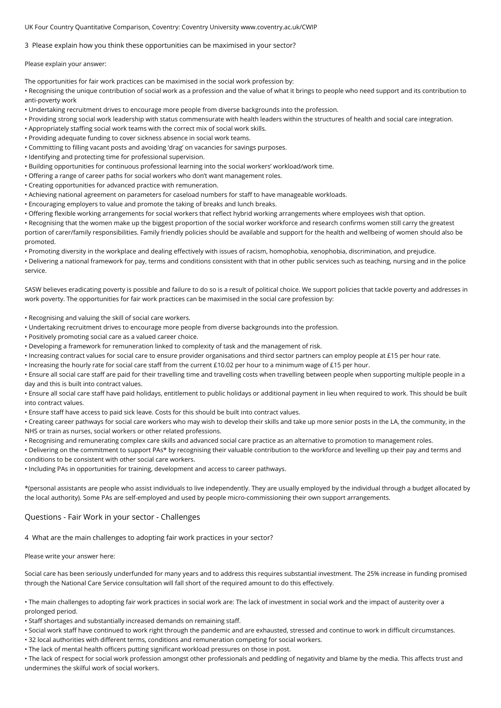UK Four Country Quantitative Comparison, Coventry: Coventry University www.coventry.ac.uk/CWIP

3 Please explain how you think these opportunities can be maximised in your sector?

Please explain your answer:

The opportunities for fair work practices can be maximised in the social work profession by:

• Recognising the unique contribution of social work as a profession and the value of what it brings to people who need support and its contribution to anti-poverty work

- Undertaking recruitment drives to encourage more people from diverse backgrounds into the profession.
- Providing strong social work leadership with status commensurate with health leaders within the structures of health and social care integration.
- Appropriately staffing social work teams with the correct mix of social work skills.
- Providing adequate funding to cover sickness absence in social work teams.
- Committing to filling vacant posts and avoiding 'drag' on vacancies for savings purposes.
- Identifying and protecting time for professional supervision.
- Building opportunities for continuous professional learning into the social workers' workload/work time.
- Offering a range of career paths for social workers who don't want management roles.
- Creating opportunities for advanced practice with remuneration.
- Achieving national agreement on parameters for caseload numbers for staff to have manageable workloads.
- Encouraging employers to value and promote the taking of breaks and lunch breaks.
- Offering flexible working arrangements for social workers that reflect hybrid working arrangements where employees wish that option.

• Recognising that the women make up the biggest proportion of the social worker workforce and research confirms women still carry the greatest portion of carer/family responsibilities. Family friendly policies should be available and support for the health and wellbeing of women should also be promoted.

• Promoting diversity in the workplace and dealing effectively with issues of racism, homophobia, xenophobia, discrimination, and prejudice.

• Delivering a national framework for pay, terms and conditions consistent with that in other public services such as teaching, nursing and in the police service.

SASW believes eradicating poverty is possible and failure to do so is a result of political choice. We support policies that tackle poverty and addresses in work poverty. The opportunities for fair work practices can be maximised in the social care profession by:

- Recognising and valuing the skill of social care workers.
- Undertaking recruitment drives to encourage more people from diverse backgrounds into the profession.
- Positively promoting social care as a valued career choice.
- Developing a framework for remuneration linked to complexity of task and the management of risk.
- Increasing contract values for social care to ensure provider organisations and third sector partners can employ people at £15 per hour rate.
- Increasing the hourly rate for social care staff from the current £10.02 per hour to a minimum wage of £15 per hour.
- Ensure all social care staff are paid for their travelling time and travelling costs when travelling between people when supporting multiple people in a day and this is built into contract values.

• Ensure all social care staff have paid holidays, entitlement to public holidays or additional payment in lieu when required to work. This should be built into contract values.

• Ensure staff have access to paid sick leave. Costs for this should be built into contract values.

• Creating career pathways for social care workers who may wish to develop their skills and take up more senior posts in the LA, the community, in the NHS or train as nurses, social workers or other related professions.

• Recognising and remunerating complex care skills and advanced social care practice as an alternative to promotion to management roles.

• Delivering on the commitment to support PAs\* by recognising their valuable contribution to the workforce and levelling up their pay and terms and conditions to be consistent with other social care workers.

• Including PAs in opportunities for training, development and access to career pathways.

\*(personal assistants are people who assist individuals to live independently. They are usually employed by the individual through a budget allocated by the local authority). Some PAs are self-employed and used by people micro-commissioning their own support arrangements.

### Questions - Fair Work in your sector - Challenges

4 What are the main challenges to adopting fair work practices in your sector?

### Please write your answer here:

Social care has been seriously underfunded for many years and to address this requires substantial investment. The 25% increase in funding promised through the National Care Service consultation will fall short of the required amount to do this effectively.

• The main challenges to adopting fair work practices in social work are: The lack of investment in social work and the impact of austerity over a prolonged period.

• Staff shortages and substantially increased demands on remaining staff.

- Social work staff have continued to work right through the pandemic and are exhausted, stressed and continue to work in difficult circumstances.
- 32 local authorities with different terms, conditions and remuneration competing for social workers.
- The lack of mental health officers putting significant workload pressures on those in post.

• The lack of respect for social work profession amongst other professionals and peddling of negativity and blame by the media. This affects trust and undermines the skilful work of social workers.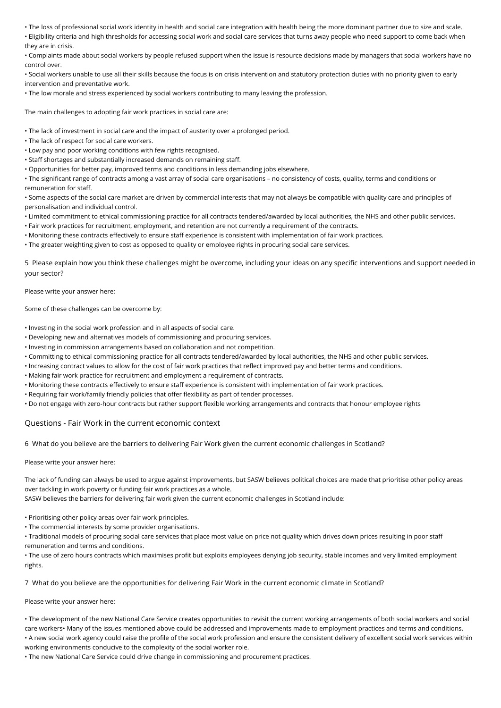• The loss of professional social work identity in health and social care integration with health being the more dominant partner due to size and scale.

• Eligibility criteria and high thresholds for accessing social work and social care services that turns away people who need support to come back when they are in crisis.

• Complaints made about social workers by people refused support when the issue is resource decisions made by managers that social workers have no control over.

• Social workers unable to use all their skills because the focus is on crisis intervention and statutory protection duties with no priority given to early intervention and preventative work.

• The low morale and stress experienced by social workers contributing to many leaving the profession.

The main challenges to adopting fair work practices in social care are:

- The lack of investment in social care and the impact of austerity over a prolonged period.
- The lack of respect for social care workers.
- Low pay and poor working conditions with few rights recognised.
- Staff shortages and substantially increased demands on remaining staff.
- Opportunities for better pay, improved terms and conditions in less demanding jobs elsewhere.

• The significant range of contracts among a vast array of social care organisations – no consistency of costs, quality, terms and conditions or remuneration for staff.

• Some aspects of the social care market are driven by commercial interests that may not always be compatible with quality care and principles of personalisation and individual control.

- Limited commitment to ethical commissioning practice for all contracts tendered/awarded by local authorities, the NHS and other public services.
- Fair work practices for recruitment, employment, and retention are not currently a requirement of the contracts.
- Monitoring these contracts effectively to ensure staff experience is consistent with implementation of fair work practices.
- The greater weighting given to cost as opposed to quality or employee rights in procuring social care services.

5 Please explain how you think these challenges might be overcome, including your ideas on any specific interventions and support needed in your sector?

Please write your answer here:

Some of these challenges can be overcome by:

- Investing in the social work profession and in all aspects of social care.
- Developing new and alternatives models of commissioning and procuring services.
- Investing in commission arrangements based on collaboration and not competition.
- Committing to ethical commissioning practice for all contracts tendered/awarded by local authorities, the NHS and other public services.
- Increasing contract values to allow for the cost of fair work practices that reflect improved pay and better terms and conditions.
- Making fair work practice for recruitment and employment a requirement of contracts.
- Monitoring these contracts effectively to ensure staff experience is consistent with implementation of fair work practices.
- Requiring fair work/family friendly policies that offer flexibility as part of tender processes.
- Do not engage with zero-hour contracts but rather support flexible working arrangements and contracts that honour employee rights

## Questions - Fair Work in the current economic context

6 What do you believe are the barriers to delivering Fair Work given the current economic challenges in Scotland?

#### Please write your answer here:

The lack of funding can always be used to argue against improvements, but SASW believes political choices are made that prioritise other policy areas over tackling in work poverty or funding fair work practices as a whole.

SASW believes the barriers for delivering fair work given the current economic challenges in Scotland include:

• Prioritising other policy areas over fair work principles.

• The commercial interests by some provider organisations.

• Traditional models of procuring social care services that place most value on price not quality which drives down prices resulting in poor staff remuneration and terms and conditions.

• The use of zero hours contracts which maximises profit but exploits employees denying job security, stable incomes and very limited employment rights.

7 What do you believe are the opportunities for delivering Fair Work in the current economic climate in Scotland?

#### Please write your answer here:

• The development of the new National Care Service creates opportunities to revisit the current working arrangements of both social workers and social care workers• Many of the issues mentioned above could be addressed and improvements made to employment practices and terms and conditions. • A new social work agency could raise the profile of the social work profession and ensure the consistent delivery of excellent social work services within working environments conducive to the complexity of the social worker role.

• The new National Care Service could drive change in commissioning and procurement practices.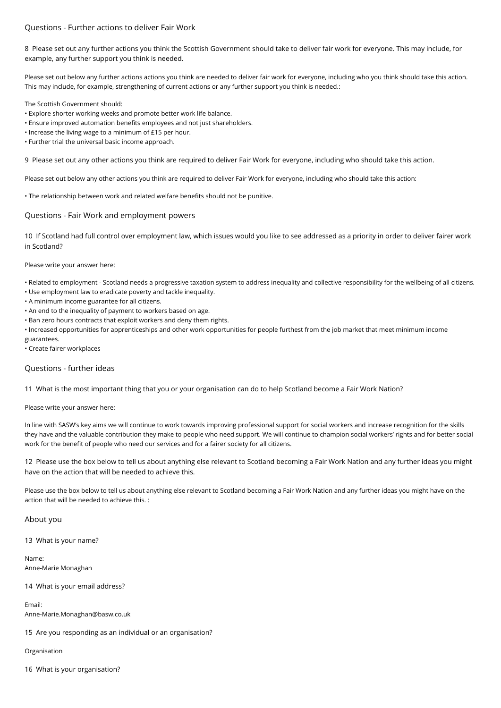## Questions - Further actions to deliver Fair Work

8 Please set out any further actions you think the Scottish Government should take to deliver fair work for everyone. This may include, for example, any further support you think is needed.

Please set out below any further actions actions you think are needed to deliver fair work for everyone, including who you think should take this action. This may include, for example, strengthening of current actions or any further support you think is needed.:

The Scottish Government should:

- Explore shorter working weeks and promote better work life balance.
- Ensure improved automation benefits employees and not just shareholders.
- Increase the living wage to a minimum of £15 per hour.
- Further trial the universal basic income approach.

9 Please set out any other actions you think are required to deliver Fair Work for everyone, including who should take this action.

Please set out below any other actions you think are required to deliver Fair Work for everyone, including who should take this action:

• The relationship between work and related welfare benefits should not be punitive.

## Questions - Fair Work and employment powers

10 If Scotland had full control over employment law, which issues would you like to see addressed as a priority in order to deliver fairer work in Scotland?

Please write your answer here:

• Related to employment - Scotland needs a progressive taxation system to address inequality and collective responsibility for the wellbeing of all citizens.

- Use employment law to eradicate poverty and tackle inequality.
- A minimum income guarantee for all citizens.
- An end to the inequality of payment to workers based on age.
- Ban zero hours contracts that exploit workers and deny them rights.
- Increased opportunities for apprenticeships and other work opportunities for people furthest from the job market that meet minimum income
- guarantees.

• Create fairer workplaces

## Questions - further ideas

11 What is the most important thing that you or your organisation can do to help Scotland become a Fair Work Nation?

Please write your answer here:

In line with SASW's key aims we will continue to work towards improving professional support for social workers and increase recognition for the skills they have and the valuable contribution they make to people who need support. We will continue to champion social workers' rights and for better social work for the benefit of people who need our services and for a fairer society for all citizens.

12 Please use the box below to tell us about anything else relevant to Scotland becoming a Fair Work Nation and any further ideas you might have on the action that will be needed to achieve this.

Please use the box below to tell us about anything else relevant to Scotland becoming a Fair Work Nation and any further ideas you might have on the action that will be needed to achieve this. :

## About you

13 What is your name?

Name: Anne-Marie Monaghan

14 What is your email address?

Email:

Anne-Marie.Monaghan@basw.co.uk

15 Are you responding as an individual or an organisation?

Organisation

16 What is your organisation?